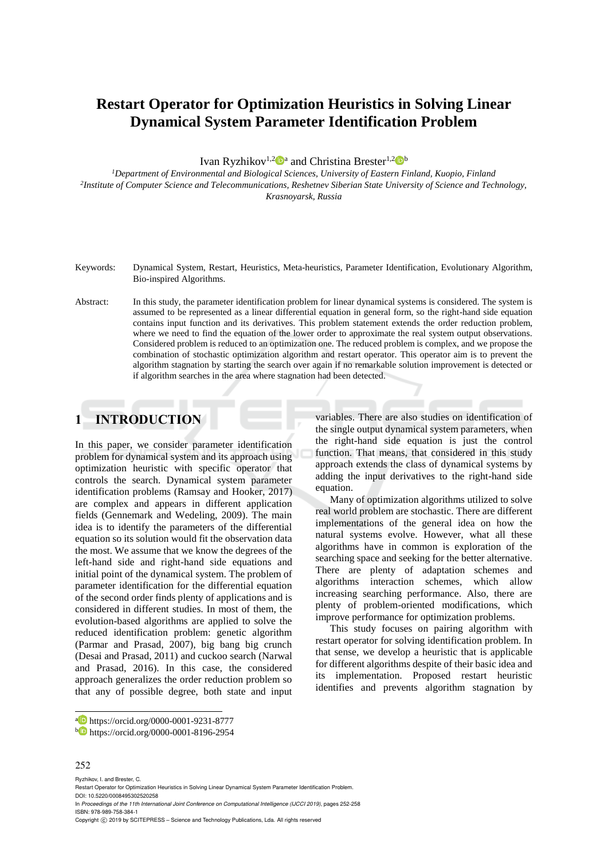# **Restart Operator for Optimization Heuristics in Solving Linear Dynamical System Parameter Identification Problem**

Ivan Ryzhikov<sup>1,2</sup><sup>0</sup><sup>a</sup> and Christina Brester<sup>1,2</sup><sup>0</sup><sup>b</sup>

*<sup>1</sup>Department of Environmental and Biological Sciences, University of Eastern Finland, Kuopio, Finland 2 Institute of Computer Science and Telecommunications, Reshetnev Siberian State University of Science and Technology, Krasnoyarsk, Russia* 

- Keywords: Dynamical System, Restart, Heuristics, Meta-heuristics, Parameter Identification, Evolutionary Algorithm, Bio-inspired Algorithms.
- Abstract: In this study, the parameter identification problem for linear dynamical systems is considered. The system is assumed to be represented as a linear differential equation in general form, so the right-hand side equation contains input function and its derivatives. This problem statement extends the order reduction problem, where we need to find the equation of the lower order to approximate the real system output observations. Considered problem is reduced to an optimization one. The reduced problem is complex, and we propose the combination of stochastic optimization algorithm and restart operator. This operator aim is to prevent the algorithm stagnation by starting the search over again if no remarkable solution improvement is detected or if algorithm searches in the area where stagnation had been detected.

# **1 INTRODUCTION**

In this paper, we consider parameter identification problem for dynamical system and its approach using optimization heuristic with specific operator that controls the search. Dynamical system parameter identification problems (Ramsay and Hooker, 2017) are complex and appears in different application fields (Gennemark and Wedeling, 2009). The main idea is to identify the parameters of the differential equation so its solution would fit the observation data the most. We assume that we know the degrees of the left-hand side and right-hand side equations and initial point of the dynamical system. The problem of parameter identification for the differential equation of the second order finds plenty of applications and is considered in different studies. In most of them, the evolution-based algorithms are applied to solve the reduced identification problem: genetic algorithm (Parmar and Prasad, 2007), big bang big crunch (Desai and Prasad, 2011) and cuckoo search (Narwal and Prasad, 2016). In this case, the considered approach generalizes the order reduction problem so that any of possible degree, both state and input

variables. There are also studies on identification of the single output dynamical system parameters, when the right-hand side equation is just the control function. That means, that considered in this study approach extends the class of dynamical systems by adding the input derivatives to the right-hand side equation.

Many of optimization algorithms utilized to solve real world problem are stochastic. There are different implementations of the general idea on how the natural systems evolve. However, what all these algorithms have in common is exploration of the searching space and seeking for the better alternative. There are plenty of adaptation schemes and algorithms interaction schemes, which allow increasing searching performance. Also, there are plenty of problem-oriented modifications, which improve performance for optimization problems.

This study focuses on pairing algorithm with restart operator for solving identification problem. In that sense, we develop a heuristic that is applicable for different algorithms despite of their basic idea and its implementation. Proposed restart heuristic identifies and prevents algorithm stagnation by

#### 252

 $\overline{a}$ 

Ryzhikov, I. and Brester, C.

In *Proceedings of the 11th International Joint Conference on Computational Intelligence (IJCCI 2019)*, pages 252-258 ISBN: 978-989-758-384-1

<sup>a</sup> https://orcid.org/0000-0001-9231-8777

<sup>b</sup> https://orcid.org/0000-0001-8196-2954

Restart Operator for Optimization Heuristics in Solving Linear Dynamical System Parameter Identification Problem. DOI: 10.5220/0008495302520258

Copyright © 2019 by SCITEPRESS - Science and Technology Publications, Lda. All rights reserved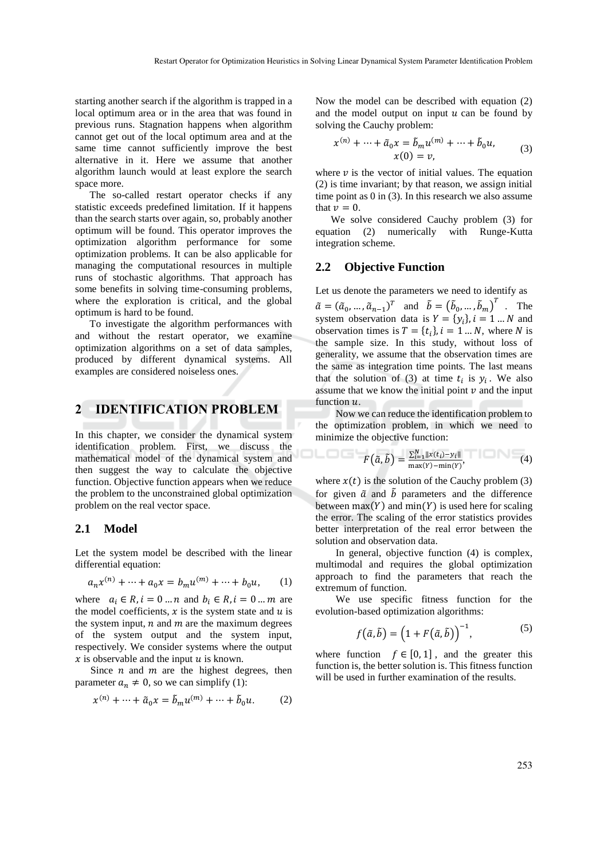starting another search if the algorithm is trapped in a local optimum area or in the area that was found in previous runs. Stagnation happens when algorithm cannot get out of the local optimum area and at the same time cannot sufficiently improve the best alternative in it. Here we assume that another algorithm launch would at least explore the search space more.

The so-called restart operator checks if any statistic exceeds predefined limitation. If it happens than the search starts over again, so, probably another optimum will be found. This operator improves the optimization algorithm performance for some optimization problems. It can be also applicable for managing the computational resources in multiple runs of stochastic algorithms. That approach has some benefits in solving time-consuming problems, where the exploration is critical, and the global optimum is hard to be found.

To investigate the algorithm performances with and without the restart operator, we examine optimization algorithms on a set of data samples, produced by different dynamical systems. All examples are considered noiseless ones.

## **2 IDENTIFICATION PROBLEM**

In this chapter, we consider the dynamical system identification problem. First, we discuss the mathematical model of the dynamical system and then suggest the way to calculate the objective function. Objective function appears when we reduce the problem to the unconstrained global optimization problem on the real vector space.

#### **2.1 Model**

Let the system model be described with the linear differential equation:

$$
a_n x^{(n)} + \dots + a_0 x = b_m u^{(m)} + \dots + b_0 u, \qquad (1)
$$

where  $a_i \in R$ ,  $i = 0 ... n$  and  $b_i \in R$ ,  $i = 0 ... m$  are the model coefficients,  $x$  is the system state and  $u$  is the system input,  $n$  and  $m$  are the maximum degrees of the system output and the system input, respectively. We consider systems where the output  $\hat{x}$  is observable and the input  $\hat{u}$  is known.

Since  $n$  and  $m$  are the highest degrees, then parameter  $a_n \neq 0$ , so we can simplify (1):

$$
x^{(n)} + \dots + \tilde{a}_0 x = \tilde{b}_m u^{(m)} + \dots + \tilde{b}_0 u.
$$
 (2)

Now the model can be described with equation (2) and the model output on input  $u$  can be found by solving the Cauchy problem:

$$
x^{(n)} + \dots + \tilde{a}_0 x = \tilde{b}_m u^{(m)} + \dots + \tilde{b}_0 u,
$$
  
\n
$$
x(0) = v,
$$
\n(3)

where  $\nu$  is the vector of initial values. The equation (2) is time invariant; by that reason, we assign initial time point as 0 in (3). In this research we also assume that  $v = 0$ .

We solve considered Cauchy problem (3) for equation (2) numerically with Runge-Kutta integration scheme.

#### **2.2 Objective Function**

Let us denote the parameters we need to identify as

 $\tilde{a} = (\tilde{a}_0, \dots, \tilde{a}_{n-1})^T$  and  $\tilde{b} = (\tilde{b}_0, \dots, \tilde{b}_m)^T$ . The system observation data is  $Y = \{y_i\}$ ,  $i = 1...N$  and observation times is  $T = \{t_i\}$ ,  $i = 1...N$ , where N is the sample size. In this study, without loss of generality, we assume that the observation times are the same as integration time points. The last means that the solution of (3) at time  $t_i$  is  $y_i$ . We also assume that we know the initial point  $\nu$  and the input function  $u$ .

Now we can reduce the identification problem to the optimization problem, in which we need to minimize the objective function:

$$
F(\tilde{a}, \tilde{b}) = \frac{\sum_{i=1}^{N} ||x(t_i) - y_i||}{\max(Y) - \min(Y)},
$$
\n(4)

where  $x(t)$  is the solution of the Cauchy problem (3) for given  $\tilde{a}$  and  $\tilde{b}$  parameters and the difference between  $max(Y)$  and  $min(Y)$  is used here for scaling the error. The scaling of the error statistics provides better interpretation of the real error between the solution and observation data.

In general, objective function (4) is complex, multimodal and requires the global optimization approach to find the parameters that reach the extremum of function.

We use specific fitness function for the evolution-based optimization algorithms:

$$
f(\tilde{a}, \tilde{b}) = (1 + F(\tilde{a}, \tilde{b}))^{-1}, \tag{5}
$$

where function  $f \in [0, 1]$ , and the greater this function is, the better solution is. This fitness function will be used in further examination of the results.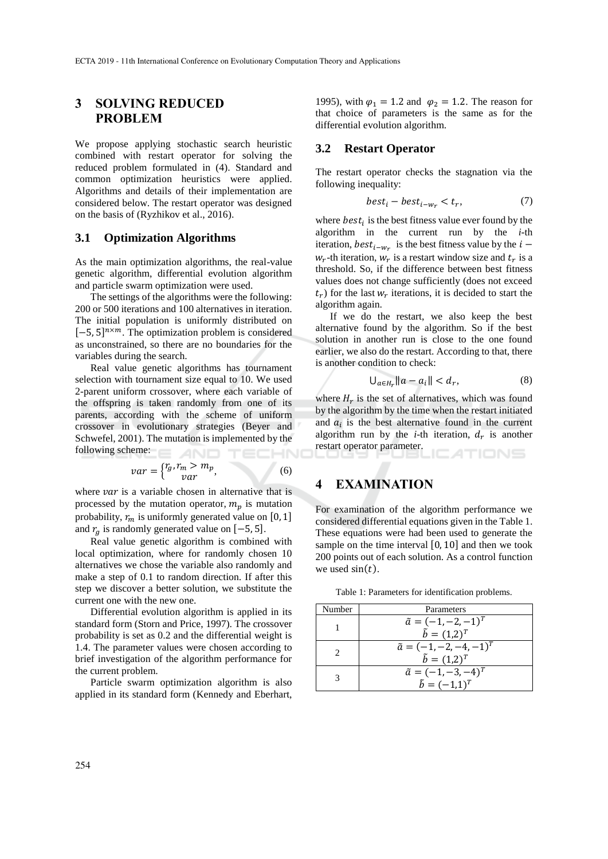## **3 SOLVING REDUCED PROBLEM**

We propose applying stochastic search heuristic combined with restart operator for solving the reduced problem formulated in (4). Standard and common optimization heuristics were applied. Algorithms and details of their implementation are considered below. The restart operator was designed on the basis of (Ryzhikov et al., 2016).

### **3.1 Optimization Algorithms**

As the main optimization algorithms, the real-value genetic algorithm, differential evolution algorithm and particle swarm optimization were used.

The settings of the algorithms were the following: 200 or 500 iterations and 100 alternatives in iteration. The initial population is uniformly distributed on  $[-5, 5]^{n \times m}$ . The optimization problem is considered as unconstrained, so there are no boundaries for the variables during the search.

Real value genetic algorithms has tournament selection with tournament size equal to 10. We used 2-parent uniform crossover, where each variable of the offspring is taken randomly from one of its parents, according with the scheme of uniform crossover in evolutionary strategies (Beyer and Schwefel, 2001). The mutation is implemented by the following scheme: **AND** TECHN

$$
var = \begin{cases} r_g, r_m > m_p, \\ var \end{cases}
$$
 (6)

where  $var$  is a variable chosen in alternative that is processed by the mutation operator,  $m_p$  is mutation probability,  $r_m$  is uniformly generated value on [0, 1] and  $r_g$  is randomly generated value on [-5, 5].

Real value genetic algorithm is combined with local optimization, where for randomly chosen 10 alternatives we chose the variable also randomly and make a step of 0.1 to random direction. If after this step we discover a better solution, we substitute the current one with the new one.

Differential evolution algorithm is applied in its standard form (Storn and Price, 1997). The crossover probability is set as 0.2 and the differential weight is 1.4. The parameter values were chosen according to brief investigation of the algorithm performance for the current problem.

Particle swarm optimization algorithm is also applied in its standard form (Kennedy and Eberhart,

1995), with  $\varphi_1 = 1.2$  and  $\varphi_2 = 1.2$ . The reason for that choice of parameters is the same as for the differential evolution algorithm.

## **3.2 Restart Operator**

The restart operator checks the stagnation via the following inequality:

$$
best_i - best_{i-w_r} < t_r,\tag{7}
$$

where  $best_i$  is the best fitness value ever found by the algorithm in the current run by the *i*-th iteration,  $best_{i-w_r}$  is the best fitness value by the  $i$  $w_r$ -th iteration,  $w_r$  is a restart window size and  $t_r$  is a threshold. So, if the difference between best fitness values does not change sufficiently (does not exceed  $t_r$ ) for the last  $w_r$  iterations, it is decided to start the algorithm again.

If we do the restart, we also keep the best alternative found by the algorithm. So if the best solution in another run is close to the one found earlier, we also do the restart. According to that, there is another condition to check:

$$
\bigcup_{a \in H_r} \|a - a_i\| < d_r,\tag{8}
$$

where  $H_r$  is the set of alternatives, which was found by the algorithm by the time when the restart initiated and  $a_i$  is the best alternative found in the current algorithm run by the *i*-th iteration,  $d_r$  is another restart operator parameter. TIONS

## **4 EXAMINATION**

For examination of the algorithm performance we considered differential equations given in the Table 1. These equations were had been used to generate the sample on the time interval  $[0, 10]$  and then we took 200 points out of each solution. As a control function we used  $sin(t)$ .

Table 1: Parameters for identification problems.

| Number | Parameters                       |
|--------|----------------------------------|
|        | $\tilde{a} = (-1, -2, -1)^T$     |
|        | $\tilde{b} = (1,2)^{T}$          |
|        | $\tilde{a} = (-1, -2, -4, -1)^T$ |
|        | $\tilde{b} = (1,2)^{T}$          |
|        | $\tilde{a} = (-1, -3, -4)^T$     |
|        | $\tilde{b} = (-1,1)^{T}$         |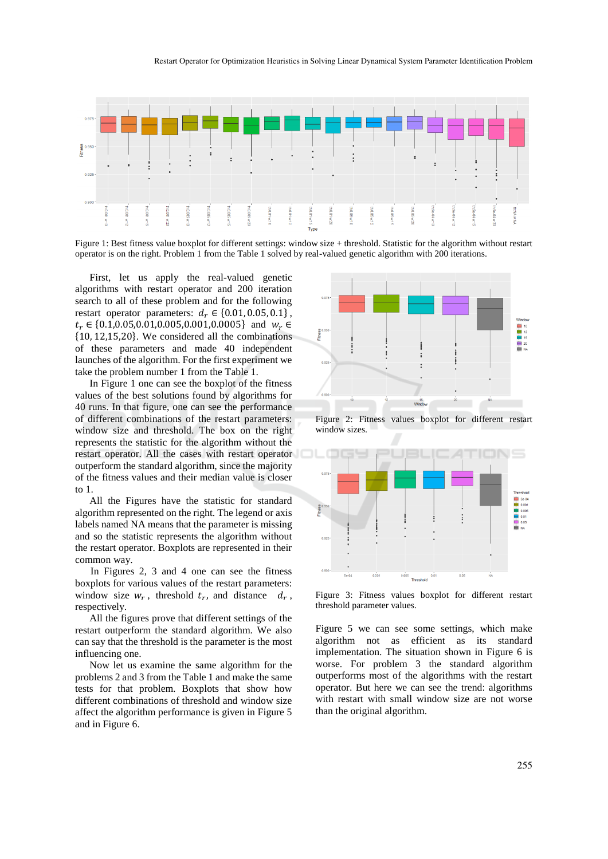

Figure 1: Best fitness value boxplot for different settings: window size + threshold. Statistic for the algorithm without restart operator is on the right. Problem 1 from the Table 1 solved by real-valued genetic algorithm with 200 iterations.

First, let us apply the real-valued genetic algorithms with restart operator and 200 iteration search to all of these problem and for the following restart operator parameters:  $d_r \in \{0.01, 0.05, 0.1\}$ ,  $t_r \in \{0.1, 0.05, 0.01, 0.005, 0.001, 0.0005\}$  and  $w_r \in$ {10, 12,15,20}. We considered all the combinations of these parameters and made 40 independent launches of the algorithm. For the first experiment we take the problem number 1 from the Table 1.

In Figure 1 one can see the boxplot of the fitness values of the best solutions found by algorithms for 40 runs. In that figure, one can see the performance of different combinations of the restart parameters: window size and threshold. The box on the right represents the statistic for the algorithm without the restart operator. All the cases with restart operator outperform the standard algorithm, since the majority of the fitness values and their median value is closer to 1.

All the Figures have the statistic for standard algorithm represented on the right. The legend or axis labels named NA means that the parameter is missing and so the statistic represents the algorithm without the restart operator. Boxplots are represented in their common way.

In Figures 2, 3 and 4 one can see the fitness boxplots for various values of the restart parameters: window size  $w_r$ , threshold  $t_r$ , and distance  $d_r$ , respectively.

All the figures prove that different settings of the restart outperform the standard algorithm. We also can say that the threshold is the parameter is the most influencing one.

Now let us examine the same algorithm for the problems 2 and 3 from the Table 1 and make the same tests for that problem. Boxplots that show how different combinations of threshold and window size affect the algorithm performance is given in Figure 5 and in Figure 6.



Figure 2: Fitness values boxplot for different restart window sizes.



Figure 3: Fitness values boxplot for different restart threshold parameter values.

Figure 5 we can see some settings, which make algorithm not as efficient as its standard implementation. The situation shown in Figure 6 is worse. For problem 3 the standard algorithm outperforms most of the algorithms with the restart operator. But here we can see the trend: algorithms with restart with small window size are not worse than the original algorithm.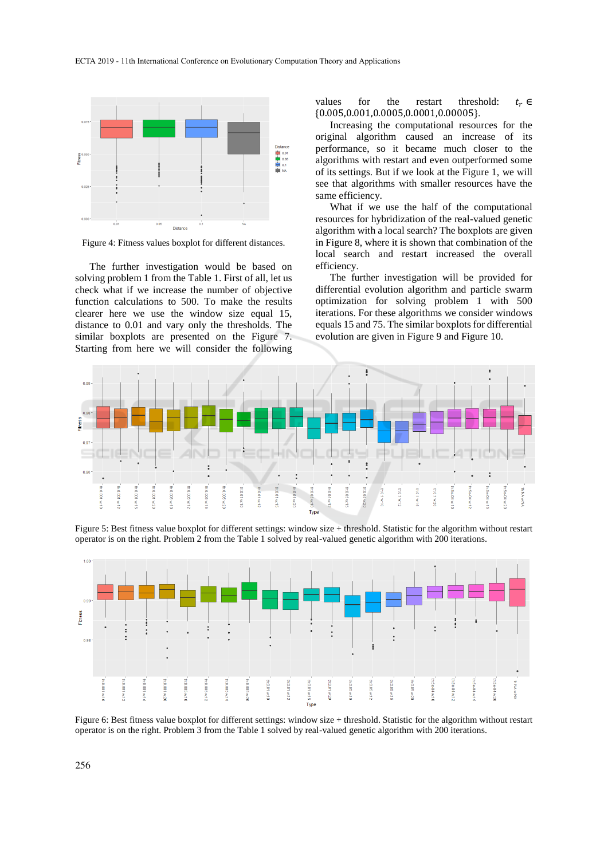

Figure 4: Fitness values boxplot for different distances.

The further investigation would be based on solving problem 1 from the Table 1. First of all, let us check what if we increase the number of objective function calculations to 500. To make the results clearer here we use the window size equal 15, distance to 0.01 and vary only the thresholds. The similar boxplots are presented on the Figure 7. Starting from here we will consider the following

values for the restart threshold:  $t_r \in$ {0.005,0.001,0.0005,0.0001,0.00005}.

Increasing the computational resources for the original algorithm caused an increase of its performance, so it became much closer to the algorithms with restart and even outperformed some of its settings. But if we look at the Figure 1, we will see that algorithms with smaller resources have the same efficiency.

What if we use the half of the computational resources for hybridization of the real-valued genetic algorithm with a local search? The boxplots are given in Figure 8, where it is shown that combination of the local search and restart increased the overall efficiency.

The further investigation will be provided for differential evolution algorithm and particle swarm optimization for solving problem 1 with 500 iterations. For these algorithms we consider windows equals 15 and 75. The similar boxplots for differential evolution are given in Figure 9 and Figure 10.



Figure 5: Best fitness value boxplot for different settings: window size + threshold. Statistic for the algorithm without restart operator is on the right. Problem 2 from the Table 1 solved by real-valued genetic algorithm with 200 iterations.



Figure 6: Best fitness value boxplot for different settings: window size + threshold. Statistic for the algorithm without restart operator is on the right. Problem 3 from the Table 1 solved by real-valued genetic algorithm with 200 iterations.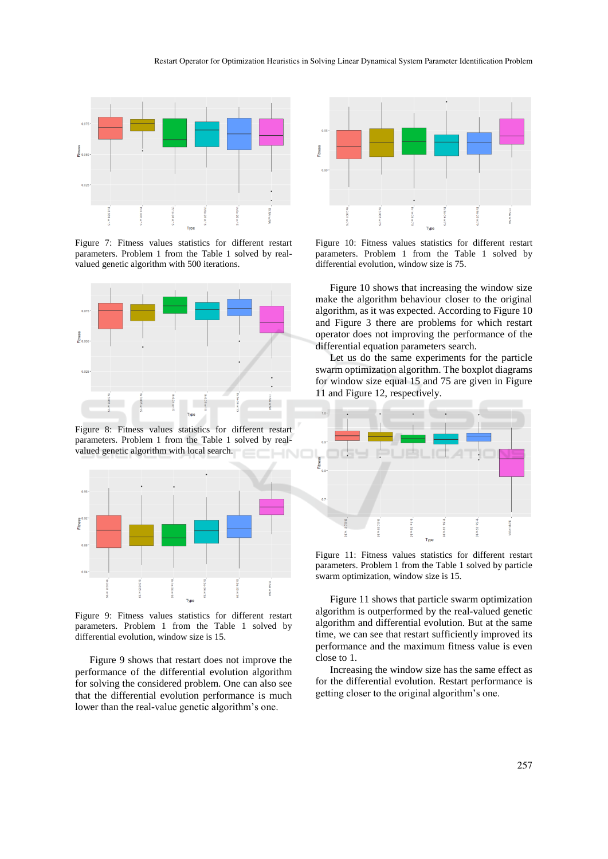

Figure 7: Fitness values statistics for different restart parameters. Problem 1 from the Table 1 solved by realvalued genetic algorithm with 500 iterations.



Figure 8: Fitness values statistics for different restart parameters. Problem 1 from the Table 1 solved by realvalued genetic algorithm with local search.



Figure 9: Fitness values statistics for different restart parameters. Problem 1 from the Table 1 solved by differential evolution, window size is 15.

Figure 9 shows that restart does not improve the performance of the differential evolution algorithm for solving the considered problem. One can also see that the differential evolution performance is much lower than the real-value genetic algorithm's one.



Figure 10: Fitness values statistics for different restart parameters. Problem 1 from the Table 1 solved by differential evolution, window size is 75.

Figure 10 shows that increasing the window size make the algorithm behaviour closer to the original algorithm, as it was expected. According to Figure 10 and Figure 3 there are problems for which restart operator does not improving the performance of the differential equation parameters search.

Let us do the same experiments for the particle swarm optimization algorithm. The boxplot diagrams for window size equal 15 and 75 are given in Figure 11 and Figure 12, respectively.



Figure 11: Fitness values statistics for different restart parameters. Problem 1 from the Table 1 solved by particle swarm optimization, window size is 15.

Figure 11 shows that particle swarm optimization algorithm is outperformed by the real-valued genetic algorithm and differential evolution. But at the same time, we can see that restart sufficiently improved its performance and the maximum fitness value is even close to 1.

Increasing the window size has the same effect as for the differential evolution. Restart performance is getting closer to the original algorithm's one.